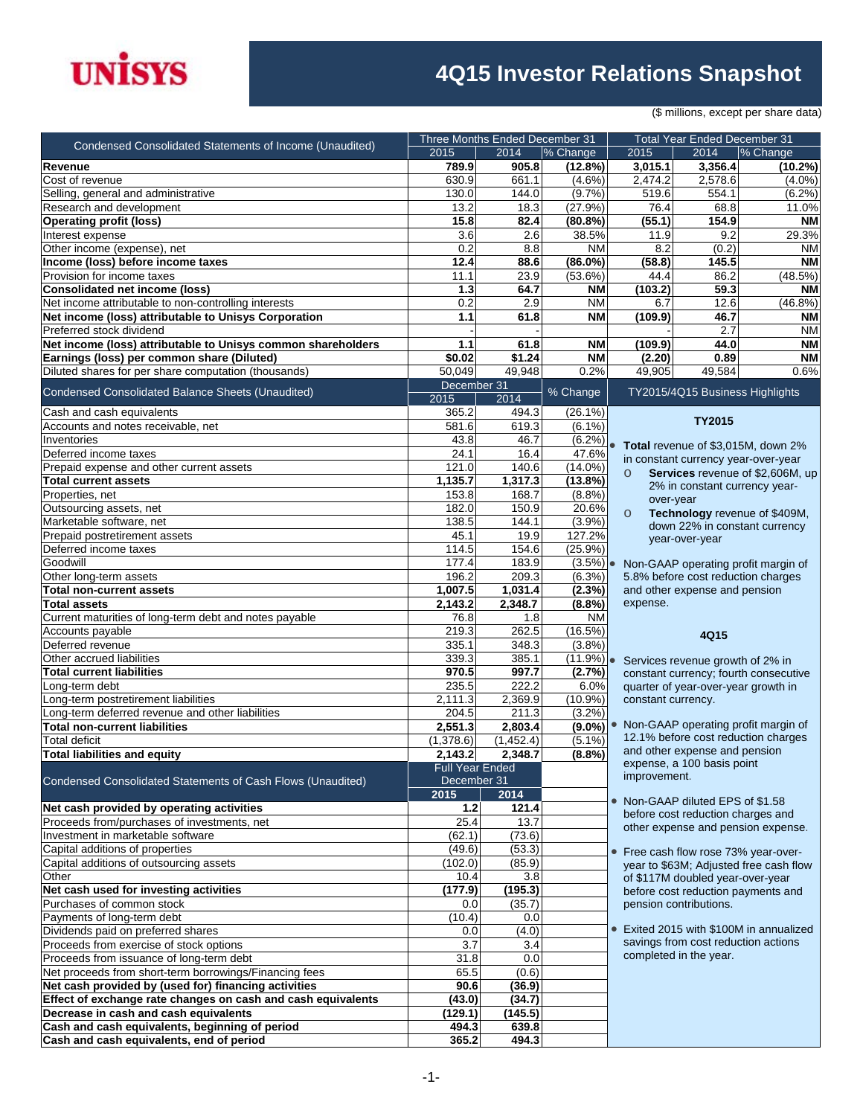

## **4Q15 Investor Relations Snapshot**

(\$ millions, except per share data)

| Condensed Consolidated Statements of Income (Unaudited)             | Three Months Ended December 31        |                   |                       |                                                               |                                     | <b>Total Year Ended December 31</b>     |  |  |  |
|---------------------------------------------------------------------|---------------------------------------|-------------------|-----------------------|---------------------------------------------------------------|-------------------------------------|-----------------------------------------|--|--|--|
|                                                                     | 2015                                  | 2014              | % Change              | 2015                                                          | 2014                                | % Change                                |  |  |  |
| Revenue                                                             | 789.9                                 | 905.8             | (12.8%)               | 3,015.1                                                       | 3,356.4                             | $(10.2\%)$                              |  |  |  |
| Cost of revenue                                                     | 630.9                                 | 661.1             | $(4.6\%)$             | 2,474.2                                                       | 2,578.6                             | $(4.0\%)$                               |  |  |  |
| Selling, general and administrative                                 | 130.0                                 | 144.0             | (9.7%                 | 519.6                                                         | 554.1                               | $(6.2\%)$                               |  |  |  |
| Research and development<br><b>Operating profit (loss)</b>          | 13.2<br>15.8                          | 18.3<br>82.4      | (27.9%)<br>$(80.8\%)$ | 76.4<br>(55.1)                                                | 68.8<br>154.9                       | 11.0%<br><b>NM</b>                      |  |  |  |
| Interest expense                                                    | 3.6                                   | 2.6               | 38.5%                 | 11.9                                                          | 9.2                                 | 29.3%                                   |  |  |  |
| Other income (expense), net                                         | 0.2                                   | 8.8               | <b>NM</b>             | 8.2                                                           | (0.2)                               | <b>NM</b>                               |  |  |  |
| Income (loss) before income taxes                                   | 12.4                                  | 88.6              | $(86.0\%)$            | (58.8)                                                        | 145.5                               | <b>NM</b>                               |  |  |  |
| Provision for income taxes                                          | 11.1                                  | 23.9              | $(53.6\%)$            | 44.4                                                          | 86.2                                | (48.5%)                                 |  |  |  |
| <b>Consolidated net income (loss)</b>                               | $1.3$                                 | 64.7              | <b>NM</b>             | (103.2)                                                       | 59.3                                | <b>NM</b>                               |  |  |  |
| Net income attributable to non-controlling interests                | 0.2                                   | 2.9               | <b>NM</b>             | 6.7                                                           | 12.6                                | (46.8%)                                 |  |  |  |
| Net income (loss) attributable to Unisys Corporation                | 1.1                                   | 61.8              | <b>NM</b>             | (109.9)                                                       | 46.7                                | <b>NM</b>                               |  |  |  |
| Preferred stock dividend                                            |                                       |                   |                       |                                                               | 2.7                                 | <b>NM</b>                               |  |  |  |
| Net income (loss) attributable to Unisys common shareholders        | 1.1                                   | 61.8              | NΜ                    | (109.9)                                                       | 44.0                                | <b>NM</b>                               |  |  |  |
| Earnings (loss) per common share (Diluted)                          | \$0.02                                | \$1.24            | <b>NM</b>             | (2.20)                                                        | 0.89                                | <b>NM</b>                               |  |  |  |
| Diluted shares for per share computation (thousands)                | 50,049                                | 49,948            | 0.2%                  | 49,905                                                        | 49,584                              | 0.6%                                    |  |  |  |
| <b>Condensed Consolidated Balance Sheets (Unaudited)</b>            | December 31<br>2015                   | 2014              | % Change              | TY2015/4Q15 Business Highlights                               |                                     |                                         |  |  |  |
| Cash and cash equivalents                                           | 365.2                                 | 494.3             | $(26.1\%)$            |                                                               | <b>TY2015</b>                       |                                         |  |  |  |
| Accounts and notes receivable, net                                  | 581.6                                 | 619.3             | $(6.1\%)$             |                                                               |                                     |                                         |  |  |  |
| Inventories                                                         | 43.8                                  | 46.7              | (6.2%)                |                                                               |                                     | Total revenue of \$3,015M, down 2%      |  |  |  |
| Deferred income taxes                                               | 24.1                                  | 16.4              | 47.6%                 |                                                               |                                     | in constant currency year-over-year     |  |  |  |
| Prepaid expense and other current assets                            | 121.0                                 | 140.6<br>1.317.3  | $(14.0\%)$            | $\circ$                                                       |                                     | Services revenue of \$2,606M, up        |  |  |  |
| <b>Total current assets</b>                                         | 1,135.7                               |                   | $(13.8\%)$            |                                                               | 2% in constant currency year-       |                                         |  |  |  |
| Properties, net<br>Outsourcing assets, net                          | 153.8<br>182.0                        | 168.7<br>150.9    | (8.8%)<br>20.6%       |                                                               | over-year                           |                                         |  |  |  |
| Marketable software, net                                            | 138.5                                 | 144.1             | $(3.9\%)$             | $\circ$                                                       |                                     | Technology revenue of \$409M,           |  |  |  |
| Prepaid postretirement assets                                       | 45.1                                  | 19.9              | 127.2%                |                                                               |                                     | down 22% in constant currency           |  |  |  |
| Deferred income taxes                                               | 114.5                                 | 154.6             | (25.9%)               |                                                               | year-over-year                      |                                         |  |  |  |
| Goodwill                                                            | 177.4                                 | 183.9             | $(3.5\%)$             |                                                               |                                     | Non-GAAP operating profit margin of     |  |  |  |
| Other long-term assets                                              | 196.2                                 | 209.3             | (6.3%)                |                                                               | 5.8% before cost reduction charges  |                                         |  |  |  |
| <b>Total non-current assets</b>                                     | 1,007.5                               | 1,031.4           | (2.3%)                | and other expense and pension                                 |                                     |                                         |  |  |  |
| <b>Total assets</b>                                                 | 2,143.2                               | 2,348.7           | (8.8%)                | expense.                                                      |                                     |                                         |  |  |  |
| Current maturities of long-term debt and notes payable              | 76.8                                  | 1.8               | <b>NM</b>             |                                                               |                                     |                                         |  |  |  |
| Accounts payable                                                    | 219.3                                 | 262.5             | (16.5%)               |                                                               | 4Q15                                |                                         |  |  |  |
| Deferred revenue                                                    | 335.1                                 | 348.3             | (3.8%)                |                                                               |                                     |                                         |  |  |  |
| Other accrued liabilities<br><b>Total current liabilities</b>       | 339.3<br>970.5                        | 385.1<br>997.7    | $(11.9\%)$<br>(2.7%)  |                                                               | Services revenue growth of 2% in    |                                         |  |  |  |
| _ong-term debt                                                      | 235.5                                 | 222.2             | 6.0%                  |                                                               | quarter of year-over-year growth in | constant currency; fourth consecutive   |  |  |  |
| Long-term postretirement liabilities                                | 2.111.3                               | 2,369.9           | $(10.9\%)$            | constant currency.                                            |                                     |                                         |  |  |  |
| Long-term deferred revenue and other liabilities                    | 204.5                                 | 211.3             | (3.2%)                |                                                               |                                     |                                         |  |  |  |
| <b>Total non-current liabilities</b>                                | 2,551.3                               | 2,803.4           | $(9.0\%)$             |                                                               |                                     | Non-GAAP operating profit margin of     |  |  |  |
| <b>Total deficit</b>                                                | (1,378.6)                             | (1,452.4)         | $(5.1\%)$             |                                                               |                                     | 12.1% before cost reduction charges     |  |  |  |
| <b>Total liabilities and equity</b>                                 | 2,143.2                               | 2,348.7           | (8.8%)                |                                                               | and other expense and pension       |                                         |  |  |  |
| Condensed Consolidated Statements of Cash Flows (Unaudited)         | <b>Full Year Ended</b><br>December 31 |                   |                       | improvement.                                                  | expense, a 100 basis point          |                                         |  |  |  |
|                                                                     | 2015                                  | 2014              |                       |                                                               | • Non-GAAP diluted EPS of \$1.58    |                                         |  |  |  |
| Net cash provided by operating activities                           | 1.2                                   | 121.4             |                       |                                                               | before cost reduction charges and   |                                         |  |  |  |
| Proceeds from/purchases of investments, net                         | 25.4                                  | 13.7              |                       |                                                               |                                     | other expense and pension expense.      |  |  |  |
| Investment in marketable software                                   | (62.1)                                | (73.6)            |                       |                                                               |                                     |                                         |  |  |  |
| Capital additions of properties                                     | (49.6)                                | (53.3)            |                       |                                                               |                                     | • Free cash flow rose 73% year-over-    |  |  |  |
| Capital additions of outsourcing assets                             | (102.0)                               | (85.9)            |                       |                                                               |                                     | year to \$63M; Adjusted free cash flow  |  |  |  |
| Other                                                               | 10.4                                  | 3.8               |                       |                                                               | of \$117M doubled year-over-year    |                                         |  |  |  |
| Net cash used for investing activities<br>Purchases of common stock | (177.9)<br>0.0                        | (195.3)<br>(35.7) |                       |                                                               |                                     | before cost reduction payments and      |  |  |  |
| Payments of long-term debt                                          | (10.4)                                | 0.0               |                       |                                                               | pension contributions.              |                                         |  |  |  |
| Dividends paid on preferred shares                                  | 0.0                                   | (4.0)             |                       |                                                               |                                     | • Exited 2015 with \$100M in annualized |  |  |  |
| Proceeds from exercise of stock options                             | 3.7                                   | 3.4               |                       | savings from cost reduction actions<br>completed in the year. |                                     |                                         |  |  |  |
| Proceeds from issuance of long-term debt                            | 31.8                                  | 0.0               |                       |                                                               |                                     |                                         |  |  |  |
| Net proceeds from short-term borrowings/Financing fees              | 65.5                                  | (0.6)             |                       |                                                               |                                     |                                         |  |  |  |
| Net cash provided by (used for) financing activities                | 90.6                                  | (36.9)            |                       |                                                               |                                     |                                         |  |  |  |
| Effect of exchange rate changes on cash and cash equivalents        | (43.0)                                | (34.7)            |                       |                                                               |                                     |                                         |  |  |  |
| Decrease in cash and cash equivalents                               | (129.1)                               | (145.5)           |                       |                                                               |                                     |                                         |  |  |  |
| Cash and cash equivalents, beginning of period                      | 494.3                                 | 639.8             |                       |                                                               |                                     |                                         |  |  |  |
| Cash and cash equivalents, end of period                            | 365.2                                 | 494.3             |                       |                                                               |                                     |                                         |  |  |  |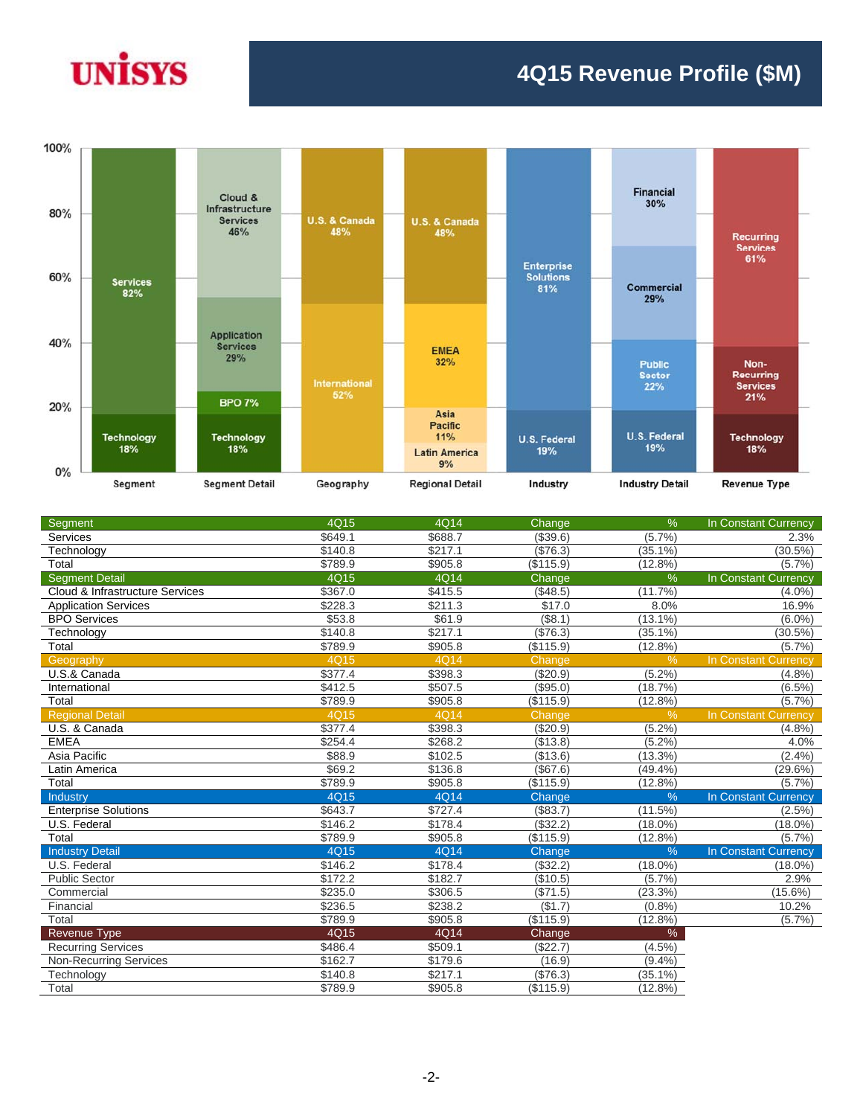# **UNISYS**

#### **4Q15 Revenue Profile (\$M)**



| Segment                         | 4Q15    | 4Q14    | Change    | %             | In Constant Currency        |
|---------------------------------|---------|---------|-----------|---------------|-----------------------------|
| Services                        | \$649.1 | \$688.7 | ( \$39.6) | (5.7%         | 2.3%                        |
| Technology                      | \$140.8 | \$217.1 | (\$76.3)  | (35.1%        | $(30.5\%)$                  |
| Total                           | \$789.9 | \$905.8 | (\$115.9) | $(12.8\%)$    | (5.7%                       |
| <b>Segment Detail</b>           | 4Q15    | 4Q14    | Change    | %             | In Constant Currency        |
| Cloud & Infrastructure Services | \$367.0 | \$415.5 | (\$48.5)  | (11.7%)       | (4.0%                       |
| <b>Application Services</b>     | \$228.3 | \$211.3 | \$17.0    | 8.0%          | 16.9%                       |
| <b>BPO Services</b>             | \$53.8  | \$61.9  | (\$8.1)   | $(13.1\%)$    | $(6.0\%)$                   |
| Technology                      | \$140.8 | \$217.1 | (\$76.3)  | (35.1%)       | $(30.5\%)$                  |
| Total                           | \$789.9 | \$905.8 | (\$115.9) | $(12.8\%)$    | (5.7%)                      |
| Geography                       | 4Q15    | 4Q14    | Change    | $\frac{9}{6}$ | <b>In Constant Currency</b> |
| U.S.& Canada                    | \$377.4 | \$398.3 | (\$20.9)  | (5.2%)        | (4.8%)                      |
| International                   | \$412.5 | \$507.5 | (\$95.0)  | (18.7%)       | $(6.5\%)$                   |
| Total                           | \$789.9 | \$905.8 | (\$115.9) | $(12.8\%)$    | (5.7%                       |
| <b>Regional Detail</b>          | 4Q15    | 4Q14    | Change    | $\frac{9}{6}$ | <b>In Constant Currency</b> |
| U.S. & Canada                   | \$377.4 | \$398.3 | (\$20.9)  | (5.2%)        | (4.8%)                      |
| <b>EMEA</b>                     | \$254.4 | \$268.2 | (\$13.8)  | (5.2%)        | 4.0%                        |
| Asia Pacific                    | \$88.9  | \$102.5 | (\$13.6)  | (13.3%)       | (2.4%                       |
| Latin America                   | \$69.2  | \$136.8 | (\$67.6)  | (49.4%        | $(29.6\%)$                  |
| Total                           | \$789.9 | \$905.8 | (\$115.9) | (12.8%)       | (5.7%)                      |
| Industry                        | 4Q15    | 4Q14    | Change    | %             | In Constant Currency        |
| <b>Enterprise Solutions</b>     | \$643.7 | \$727.4 | (\$83.7)  | (11.5%)       | $(2.5\%)$                   |
| U.S. Federal                    | \$146.2 | \$178.4 | (\$32.2)  | $(18.0\%)$    | $(18.0\%)$                  |
| Total                           | \$789.9 | \$905.8 | (\$115.9) | (12.8%)       | (5.7%)                      |
| <b>Industry Detail</b>          | 4Q15    | 4Q14    | Change    | $\%$          | In Constant Currency        |
| U.S. Federal                    | \$146.2 | \$178.4 | (\$32.2)  | $(18.0\%)$    | $(18.0\%)$                  |
| <b>Public Sector</b>            | \$172.2 | \$182.7 | (\$10.5)  | (5.7%         | 2.9%                        |
| Commercial                      | \$235.0 | \$306.5 | (\$71.5)  | (23.3%)       | $(15.6\%)$                  |
| Financial                       | \$236.5 | \$238.2 | (\$1.7)   | (0.8%         | 10.2%                       |
| Total                           | \$789.9 | \$905.8 | (\$115.9) | (12.8%)       | (5.7%                       |
| Revenue Type                    | 4Q15    | 4Q14    | Change    | %             |                             |
| <b>Recurring Services</b>       | \$486.4 | \$509.1 | (S22.7)   | $(4.5\%)$     |                             |
| <b>Non-Recurring Services</b>   | \$162.7 | \$179.6 | (16.9)    | (9.4%         |                             |
| Technology                      | \$140.8 | \$217.1 | (\$76.3)  | $(35.1\%)$    |                             |
| Total                           | \$789.9 | \$905.8 | (\$115.9) | (12.8%)       |                             |